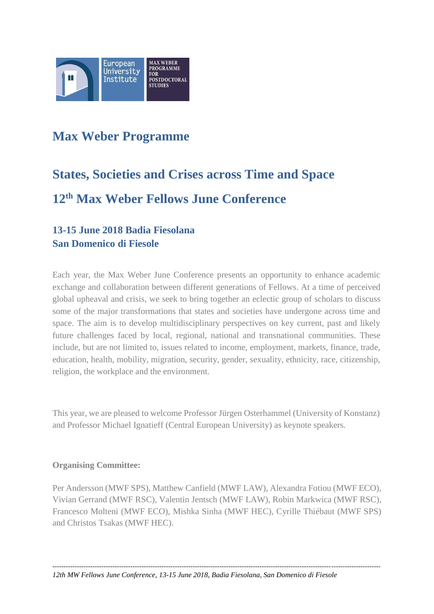

# **Max Weber Programme**

# **States, Societies and Crises across Time and Space 12th Max Weber Fellows June Conference**

# **13-15 June 2018 Badia Fiesolana San Domenico di Fiesole**

Each year, the Max Weber June Conference presents an opportunity to enhance academic exchange and collaboration between different generations of Fellows. At a time of perceived global upheaval and crisis, we seek to bring together an eclectic group of scholars to discuss some of the major transformations that states and societies have undergone across time and space. The aim is to develop multidisciplinary perspectives on key current, past and likely future challenges faced by local, regional, national and transnational communities. These include, but are not limited to, issues related to income, employment, markets, finance, trade, education, health, mobility, migration, security, gender, sexuality, ethnicity, race, citizenship, religion, the workplace and the environment.

This year, we are pleased to welcome Professor Jürgen Osterhammel (University of Konstanz) and Professor Michael Ignatieff (Central European University) as keynote speakers.

### **Organising Committee:**

Per Andersson (MWF SPS), Matthew Canfield (MWF LAW), Alexandra Fotiou (MWF ECO), Vivian Gerrand (MWF RSC), Valentin Jentsch (MWF LAW), Robin Markwica (MWF RSC), Francesco Molteni (MWF ECO), Mishka Sinha (MWF HEC), Cyrille Thiébaut (MWF SPS) and Christos Tsakas (MWF HEC).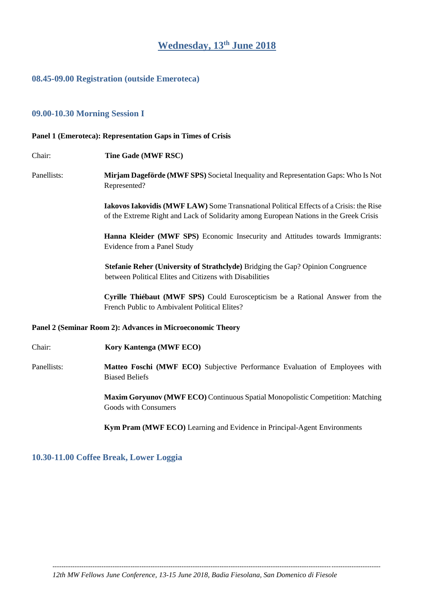# **Wednesday, 13th June 2018**

#### **08.45-09.00 Registration (outside Emeroteca)**

#### **09.00-10.30 Morning Session I**

#### **Panel 1 (Emeroteca): Representation Gaps in Times of Crisis**

Chair: **Tine Gade (MWF RSC)**

Panellists: **Mirjam Dageförde (MWF SPS)** Societal Inequality and Representation Gaps: Who Is Not Represented?

> **Iakovos Iakovidis (MWF LAW)** Some Transnational Political Effects of a Crisis: the Rise of the Extreme Right and Lack of Solidarity among European Nations in the Greek Crisis

> **Hanna Kleider (MWF SPS)** Economic Insecurity and Attitudes towards Immigrants: Evidence from a Panel Study

**Stefanie Reher (University of Strathclyde)** Bridging the Gap? Opinion Congruence between Political Elites and Citizens with Disabilities

**Cyrille Thiébaut (MWF SPS)** Could Euroscepticism be a Rational Answer from the French Public to Ambivalent Political Elites?

#### **Panel 2 (Seminar Room 2): Advances in Microeconomic Theory**

Chair: **Kory Kantenga (MWF ECO)**

Panellists: **Matteo Foschi (MWF ECO)** Subjective Performance Evaluation of Employees with Biased Beliefs

> **Maxim Goryunov (MWF ECO)** Continuous Spatial Monopolistic Competition: Matching Goods with Consumers

**Kym Pram (MWF ECO)** Learning and Evidence in Principal-Agent Environments

#### **10.30-11.00 Coffee Break, Lower Loggia**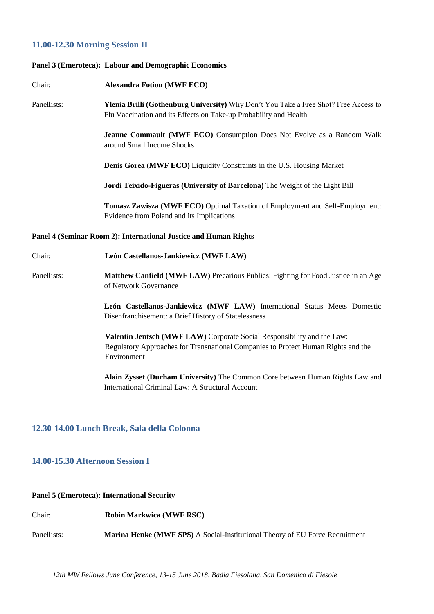# **11.00-12.30 Morning Session II**

#### **Panel 3 (Emeroteca): Labour and Demographic Economics**

| Chair:      | <b>Alexandra Fotiou (MWF ECO)</b>                                                                                                                                           |  |  |  |  |  |  |  |
|-------------|-----------------------------------------------------------------------------------------------------------------------------------------------------------------------------|--|--|--|--|--|--|--|
| Panellists: | Ylenia Brilli (Gothenburg University) Why Don't You Take a Free Shot? Free Access to<br>Flu Vaccination and its Effects on Take-up Probability and Health                   |  |  |  |  |  |  |  |
|             | <b>Jeanne Commault (MWF ECO)</b> Consumption Does Not Evolve as a Random Walk<br>around Small Income Shocks                                                                 |  |  |  |  |  |  |  |
|             | Denis Gorea (MWF ECO) Liquidity Constraints in the U.S. Housing Market                                                                                                      |  |  |  |  |  |  |  |
|             | Jordi Teixido-Figueras (University of Barcelona) The Weight of the Light Bill                                                                                               |  |  |  |  |  |  |  |
|             | Tomasz Zawisza (MWF ECO) Optimal Taxation of Employment and Self-Employment:<br>Evidence from Poland and its Implications                                                   |  |  |  |  |  |  |  |
|             | Panel 4 (Seminar Room 2): International Justice and Human Rights                                                                                                            |  |  |  |  |  |  |  |
| Chair:      | León Castellanos-Jankiewicz (MWF LAW)                                                                                                                                       |  |  |  |  |  |  |  |
| Panellists: | Matthew Canfield (MWF LAW) Precarious Publics: Fighting for Food Justice in an Age<br>of Network Governance                                                                 |  |  |  |  |  |  |  |
|             | León Castellanos-Jankiewicz (MWF LAW) International Status Meets Domestic<br>Disenfranchisement: a Brief History of Statelessness                                           |  |  |  |  |  |  |  |
|             | Valentin Jentsch (MWF LAW) Corporate Social Responsibility and the Law:<br>Regulatory Approaches for Transnational Companies to Protect Human Rights and the<br>Environment |  |  |  |  |  |  |  |
|             | Alain Zysset (Durham University) The Common Core between Human Rights Law and<br>International Criminal Law: A Structural Account                                           |  |  |  |  |  |  |  |

# **12.30-14.00 Lunch Break, Sala della Colonna**

### **14.00-15.30 Afternoon Session I**

#### **Panel 5 (Emeroteca): International Security**

Chair: **Robin Markwica (MWF RSC)**

Panellists: **Marina Henke (MWF SPS)** A Social-Institutional Theory of EU Force Recruitment

*12th MW Fellows June Conference, 13-15 June 2018, Badia Fiesolana, San Domenico di Fiesole*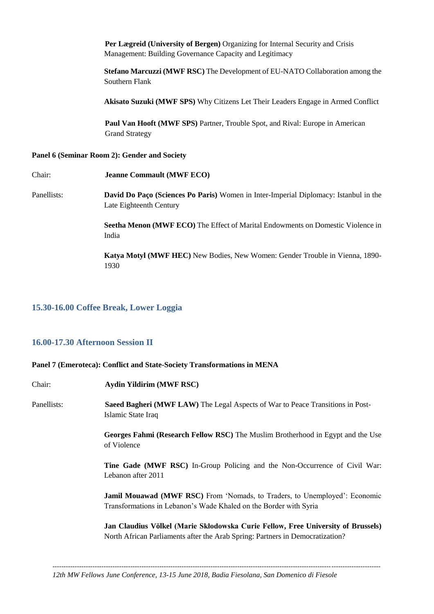**Per Lægreid (University of Bergen)** Organizing for Internal Security and Crisis Management: Building Governance Capacity and Legitimacy

**Stefano Marcuzzi (MWF RSC)** The Development of EU-NATO Collaboration among the Southern Flank

**Akisato Suzuki (MWF SPS)** Why Citizens Let Their Leaders Engage in Armed Conflict

**Paul Van Hooft (MWF SPS)** Partner, Trouble Spot, and Rival: Europe in American Grand Strategy

#### **Panel 6 (Seminar Room 2): Gender and Society**

| Chair:      | <b>Jeanne Commault (MWF ECO)</b>                                                                                       |
|-------------|------------------------------------------------------------------------------------------------------------------------|
| Panellists: | <b>David Do Paço (Sciences Po Paris)</b> Women in Inter-Imperial Diplomacy: Istanbul in the<br>Late Eighteenth Century |
|             | <b>Seetha Menon (MWF ECO)</b> The Effect of Marital Endowments on Domestic Violence in<br>India                        |

**Katya Motyl (MWF HEC)** New Bodies, New Women: Gender Trouble in Vienna, 1890- 1930

#### **15.30-16.00 Coffee Break, Lower Loggia**

#### **16.00-17.30 Afternoon Session II**

#### **Panel 7 (Emeroteca): Conflict and State-Society Transformations in MENA**

| Chair:      | <b>Aydin Yildirim (MWF RSC)</b>                                                                                                                                   |
|-------------|-------------------------------------------------------------------------------------------------------------------------------------------------------------------|
| Panellists: | Saeed Bagheri (MWF LAW) The Legal Aspects of War to Peace Transitions in Post-<br>Islamic State Iraq                                                              |
|             | Georges Fahmi (Research Fellow RSC) The Muslim Brotherhood in Egypt and the Use<br>of Violence                                                                    |
|             | Tine Gade (MWF RSC) In-Group Policing and the Non-Occurrence of Civil War:<br>Lebanon after 2011                                                                  |
|             | <b>Jamil Mouawad (MWF RSC)</b> From 'Nomads, to Traders, to Unemployed': Economic<br>Transformations in Lebanon's Wade Khaled on the Border with Syria            |
|             | Jan Claudius Völkel (Marie Skłodowska Curie Fellow, Free University of Brussels)<br>North African Parliaments after the Arab Spring: Partners in Democratization? |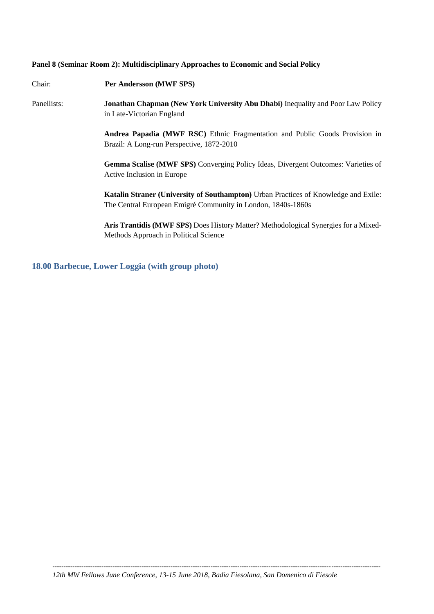#### **Panel 8 (Seminar Room 2): Multidisciplinary Approaches to Economic and Social Policy**

Chair: **Per Andersson (MWF SPS)**

Panellists: **Jonathan Chapman (New York University Abu Dhabi)** Inequality and Poor Law Policy in Late-Victorian England

> **Andrea Papadia (MWF RSC)** Ethnic Fragmentation and Public Goods Provision in Brazil: A Long-run Perspective, 1872-2010

> **Gemma Scalise (MWF SPS)** Converging Policy Ideas, Divergent Outcomes: Varieties of Active Inclusion in Europe

> **Katalin Straner (University of Southampton)** Urban Practices of Knowledge and Exile: The Central European Emigré Community in London, 1840s-1860s

> **Aris Trantidis (MWF SPS)** Does History Matter? Methodological Synergies for a Mixed-Methods Approach in Political Science

**18.00 Barbecue, Lower Loggia (with group photo)**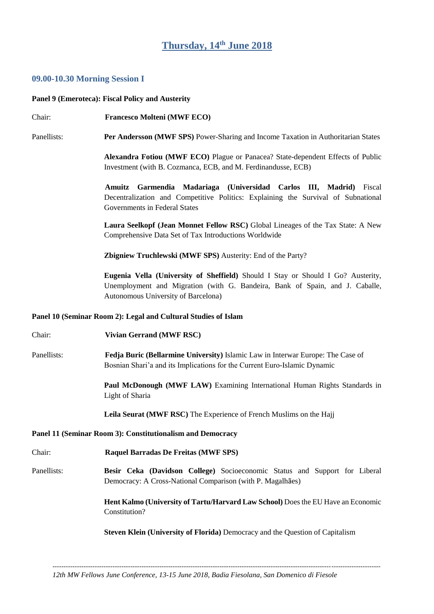# **Thursday, 14th June 2018**

# **09.00-10.30 Morning Session I**

# **Panel 9 (Emeroteca): Fiscal Policy and Austerity**

| Chair:      | <b>Francesco Molteni (MWF ECO)</b>                                                                                                                                                                      |
|-------------|---------------------------------------------------------------------------------------------------------------------------------------------------------------------------------------------------------|
| Panellists: | Per Andersson (MWF SPS) Power-Sharing and Income Taxation in Authoritarian States                                                                                                                       |
|             | Alexandra Fotiou (MWF ECO) Plague or Panacea? State-dependent Effects of Public<br>Investment (with B. Cozmanca, ECB, and M. Ferdinandusse, ECB)                                                        |
|             | Amuitz Garmendia Madariaga (Universidad Carlos III, Madrid) Fiscal<br>Decentralization and Competitive Politics: Explaining the Survival of Subnational<br>Governments in Federal States                |
|             | Laura Seelkopf (Jean Monnet Fellow RSC) Global Lineages of the Tax State: A New<br>Comprehensive Data Set of Tax Introductions Worldwide                                                                |
|             | Zbigniew Truchlewski (MWF SPS) Austerity: End of the Party?                                                                                                                                             |
|             | Eugenia Vella (University of Sheffield) Should I Stay or Should I Go? Austerity,<br>Unemployment and Migration (with G. Bandeira, Bank of Spain, and J. Caballe,<br>Autonomous University of Barcelona) |
|             | Panel 10 (Seminar Room 2): Legal and Cultural Studies of Islam                                                                                                                                          |
| Chair:      | Vivian Gerrand (MWF RSC)                                                                                                                                                                                |
| Panellists: | Fedja Buric (Bellarmine University) Islamic Law in Interwar Europe: The Case of<br>Bosnian Shari'a and its Implications for the Current Euro-Islamic Dynamic                                            |
|             | Paul McDonough (MWF LAW) Examining International Human Rights Standards in<br>Light of Sharia                                                                                                           |
|             | Leila Seurat (MWF RSC) The Experience of French Muslims on the Hajj                                                                                                                                     |
|             | Panel 11 (Seminar Room 3): Constitutionalism and Democracy                                                                                                                                              |
| Chair:      | <b>Raquel Barradas De Freitas (MWF SPS)</b>                                                                                                                                                             |
| Panellists: | Besir Ceka (Davidson College) Socioeconomic Status and Support for Liberal<br>Democracy: A Cross-National Comparison (with P. Magalhães)                                                                |
|             | Hent Kalmo (University of Tartu/Harvard Law School) Does the EU Have an Economic<br>Constitution?                                                                                                       |
|             | Steven Klein (University of Florida) Democracy and the Question of Capitalism                                                                                                                           |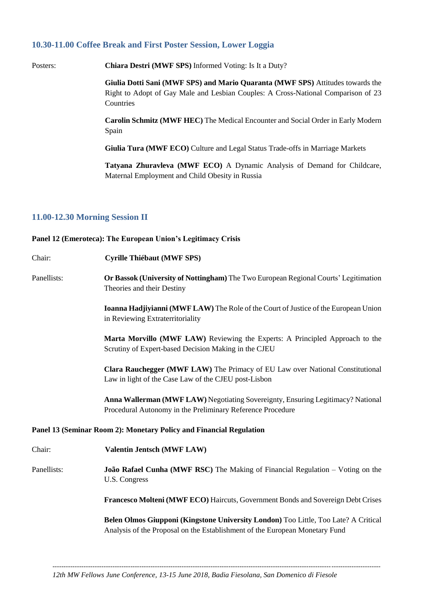#### **10.30-11.00 Coffee Break and First Poster Session, Lower Loggia**

Posters: **Chiara Destri (MWF SPS)** Informed Voting: Is It a Duty?

**Giulia Dotti Sani (MWF SPS) and Mario Quaranta (MWF SPS)** Attitudes towards the Right to Adopt of Gay Male and Lesbian Couples: A Cross-National Comparison of 23 Countries

**Carolin Schmitz (MWF HEC)** The Medical Encounter and Social Order in Early Modern Spain

**Giulia Tura (MWF ECO)** Culture and Legal Status Trade-offs in Marriage Markets

**Tatyana Zhuravleva (MWF ECO)** A Dynamic Analysis of Demand for Childcare, Maternal Employment and Child Obesity in Russia

#### **11.00-12.30 Morning Session II**

#### **Panel 12 (Emeroteca): The European Union's Legitimacy Crisis**

| Chair:      | <b>Cyrille Thiébaut (MWF SPS)</b>                                                                                                                                  |
|-------------|--------------------------------------------------------------------------------------------------------------------------------------------------------------------|
| Panellists: | Or Bassok (University of Nottingham) The Two European Regional Courts' Legitimation<br>Theories and their Destiny                                                  |
|             | <b>Ioanna Hadjiyianni (MWF LAW)</b> The Role of the Court of Justice of the European Union<br>in Reviewing Extraterritoriality                                     |
|             | <b>Marta Morvillo (MWF LAW)</b> Reviewing the Experts: A Principled Approach to the<br>Scrutiny of Expert-based Decision Making in the CJEU                        |
|             | <b>Clara Rauchegger (MWF LAW)</b> The Primacy of EU Law over National Constitutional<br>Law in light of the Case Law of the CJEU post-Lisbon                       |
|             | <b>Anna Wallerman (MWF LAW)</b> Negotiating Sovereignty, Ensuring Legitimacy? National<br>Procedural Autonomy in the Preliminary Reference Procedure               |
|             | Panel 13 (Seminar Room 2): Monetary Policy and Financial Regulation                                                                                                |
| Chair:      | Valentin Jentsch (MWF LAW)                                                                                                                                         |
| Panellists: | <b>João Rafael Cunha (MWF RSC)</b> The Making of Financial Regulation – Voting on the<br>U.S. Congress                                                             |
|             | Francesco Molteni (MWF ECO) Haircuts, Government Bonds and Sovereign Debt Crises                                                                                   |
|             | Belen Olmos Giupponi (Kingstone University London) Too Little, Too Late? A Critical<br>Analysis of the Proposal on the Establishment of the European Monetary Fund |

*12th MW Fellows June Conference, 13-15 June 2018, Badia Fiesolana, San Domenico di Fiesole*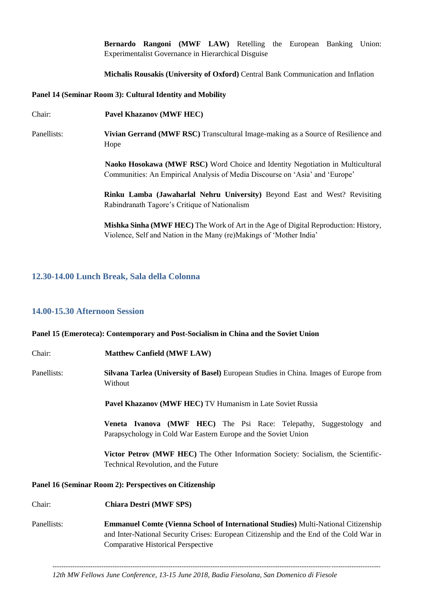**Bernardo Rangoni (MWF LAW)** Retelling the European Banking Union: Experimentalist Governance in Hierarchical Disguise

**Michalis Rousakis (University of Oxford)** Central Bank Communication and Inflation

#### **Panel 14 (Seminar Room 3): Cultural Identity and Mobility**

Chair: **Pavel Khazanov (MWF HEC)** 

Panellists: **Vivian Gerrand (MWF RSC)** Transcultural Image-making as a Source of Resilience and Hope

> **Naoko Hosokawa (MWF RSC)** Word Choice and Identity Negotiation in Multicultural Communities: An Empirical Analysis of Media Discourse on 'Asia' and 'Europe'

> **Rinku Lamba (Jawaharlal Nehru University)** Beyond East and West? Revisiting Rabindranath Tagore's Critique of Nationalism

> **Mishka Sinha (MWF HEC)** The Work of Art in the Age of Digital Reproduction: History, Violence, Self and Nation in the Many (re)Makings of 'Mother India'

#### **12.30-14.00 Lunch Break, Sala della Colonna**

#### **14.00-15.30 Afternoon Session**

#### **Panel 15 (Emeroteca): Contemporary and Post-Socialism in China and the Soviet Union**

| <b>Matthew Canfield (MWF LAW)</b>                                                                                                              |  |  |  |  |  |  |  |  |  |
|------------------------------------------------------------------------------------------------------------------------------------------------|--|--|--|--|--|--|--|--|--|
| <b>Silvana Tarlea (University of Basel)</b> European Studies in China. Images of Europe from<br>Without                                        |  |  |  |  |  |  |  |  |  |
| <b>Pavel Khazanov (MWF HEC) TV Humanism in Late Soviet Russia</b>                                                                              |  |  |  |  |  |  |  |  |  |
| <b>Veneta Ivanova (MWF HEC)</b> The Psi Race: Telepathy, Suggestology<br>and<br>Parapsychology in Cold War Eastern Europe and the Soviet Union |  |  |  |  |  |  |  |  |  |
| <b>Victor Petrov (MWF HEC)</b> The Other Information Society: Socialism, the Scientific-<br>Technical Revolution, and the Future               |  |  |  |  |  |  |  |  |  |
| Panel 16 (Seminar Room 2): Perspectives on Citizenship                                                                                         |  |  |  |  |  |  |  |  |  |
| Chiara Destri (MWF SPS)                                                                                                                        |  |  |  |  |  |  |  |  |  |
|                                                                                                                                                |  |  |  |  |  |  |  |  |  |

Panellists: **Emmanuel Comte (Vienna School of International Studies)** Multi-National Citizenship and Inter-National Security Crises: European Citizenship and the End of the Cold War in Comparative Historical Perspective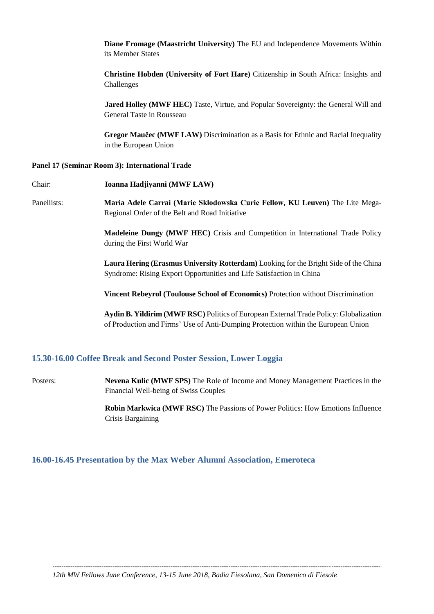**Diane Fromage (Maastricht University)** The EU and Independence Movements Within its Member States

**Christine Hobden (University of Fort Hare)** Citizenship in South Africa: Insights and Challenges

**Jared Holley (MWF HEC)** Taste, Virtue, and Popular Sovereignty: the General Will and General Taste in Rousseau

**Gregor Maučec (MWF LAW)** Discrimination as a Basis for Ethnic and Racial Inequality in the European Union

#### **Panel 17 (Seminar Room 3): International Trade**

Chair: **Ioanna Hadjiyanni (MWF LAW)** Panellists: **Maria Adele Carrai (Marie Skłodowska Curie Fellow, KU Leuven)** The Lite Mega-Regional Order of the Belt and Road Initiative **Madeleine Dungy (MWF HEC)** Crisis and Competition in International Trade Policy during the First World War **Laura Hering (Erasmus University Rotterdam)** Looking for the Bright Side of the China Syndrome: Rising Export Opportunities and Life Satisfaction in China **Vincent Rebeyrol (Toulouse School of Economics)** Protection without Discrimination **Aydin B. Yildirim (MWF RSC)** Politics of European External Trade Policy: Globalization

#### **15.30-16.00 Coffee Break and Second Poster Session, Lower Loggia**

Posters: **Nevena Kulic (MWF SPS)** The Role of Income and Money Management Practices in the Financial Well-being of Swiss Couples

> **Robin Markwica (MWF RSC)** The Passions of Power Politics: How Emotions Influence Crisis Bargaining

of Production and Firms' Use of Anti-Dumping Protection within the European Union

#### **16.00-16.45 Presentation by the Max Weber Alumni Association, Emeroteca**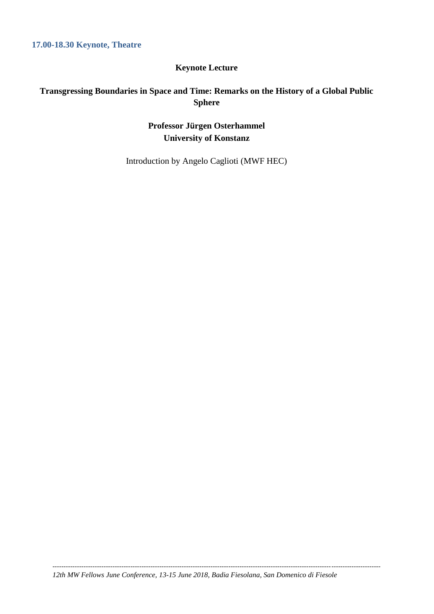**17.00-18.30 Keynote, Theatre** 

### **Keynote Lecture**

# **Transgressing Boundaries in Space and Time: Remarks on the History of a Global Public Sphere**

# **Professor Jürgen Osterhammel University of Konstanz**

Introduction by Angelo Caglioti (MWF HEC)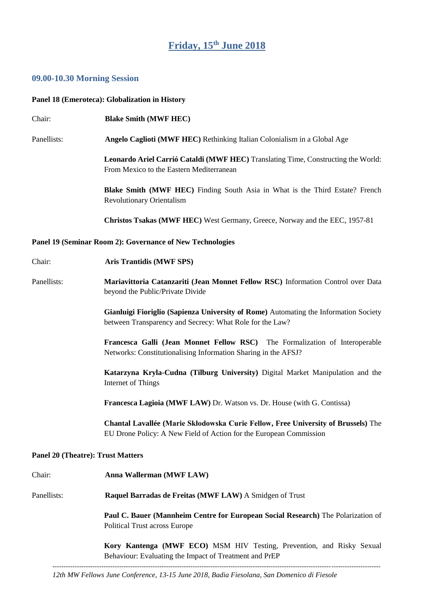# **Friday, 15th June 2018**

#### **09.00-10.30 Morning Session**

# **Panel 18 (Emeroteca): Globalization in History**  Chair: **Blake Smith (MWF HEC)** Panellists: **Angelo Caglioti (MWF HEC)** Rethinking Italian Colonialism in a Global Age **Leonardo Ariel Carrió Cataldi (MWF HEC)** Translating Time, Constructing the World: From Mexico to the Eastern Mediterranean **Blake Smith (MWF HEC)** Finding South Asia in What is the Third Estate? French Revolutionary Orientalism **Christos Tsakas (MWF HEC)** West Germany, Greece, Norway and the EEC, 1957-81 **Panel 19 (Seminar Room 2): Governance of New Technologies**  Chair: **Aris Trantidis (MWF SPS)**  Panellists: **Mariavittoria Catanzariti (Jean Monnet Fellow RSC)** Information Control over Data beyond the Public/Private Divide **Gianluigi Fioriglio (Sapienza University of Rome)** Automating the Information Society between Transparency and Secrecy: What Role for the Law? **Francesca Galli (Jean Monnet Fellow RSC)** The Formalization of Interoperable Networks: Constitutionalising Information Sharing in the AFSJ? **Katarzyna Kryla-Cudna (Tilburg University)** Digital Market Manipulation and the Internet of Things **Francesca Lagioia (MWF LAW)** Dr. Watson vs. Dr. House (with G. Contissa) **Chantal Lavallée (Marie Skłodowska Curie Fellow, Free University of Brussels)** The EU Drone Policy: A New Field of Action for the European Commission **Panel 20 (Theatre): Trust Matters**  Chair: **Anna Wallerman (MWF LAW)** Panellists: **Raquel Barradas de Freitas (MWF LAW)** A Smidgen of Trust **Paul C. Bauer (Mannheim Centre for European Social Research)** The Polarization of Political Trust across Europe

**Kory Kantenga (MWF ECO)** MSM HIV Testing, Prevention, and Risky Sexual Behaviour: Evaluating the Impact of Treatment and PrEP

*12th MW Fellows June Conference, 13-15 June 2018, Badia Fiesolana, San Domenico di Fiesole*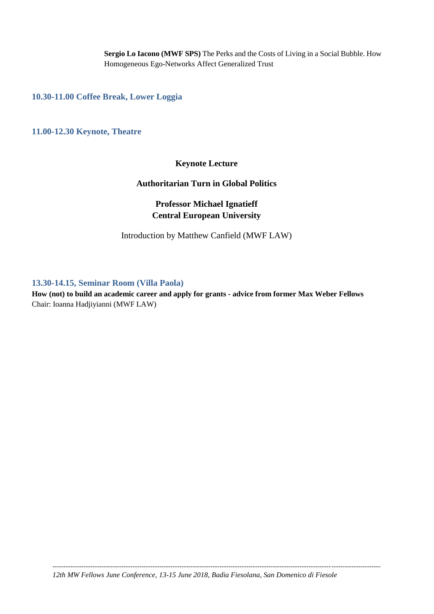**Sergio Lo Iacono (MWF SPS)** The Perks and the Costs of Living in a Social Bubble. How Homogeneous Ego-Networks Affect Generalized Trust

**10.30-11.00 Coffee Break, Lower Loggia**

**11.00-12.30 Keynote, Theatre** 

#### **Keynote Lecture**

#### **Authoritarian Turn in Global Politics**

# **Professor Michael Ignatieff Central European University**

Introduction by Matthew Canfield (MWF LAW)

#### **13.30-14.15, Seminar Room (Villa Paola)**

**How (not) to build an academic career and apply for grants - advice from former Max Weber Fellows** Chair: Ioanna Hadjiyianni (MWF LAW)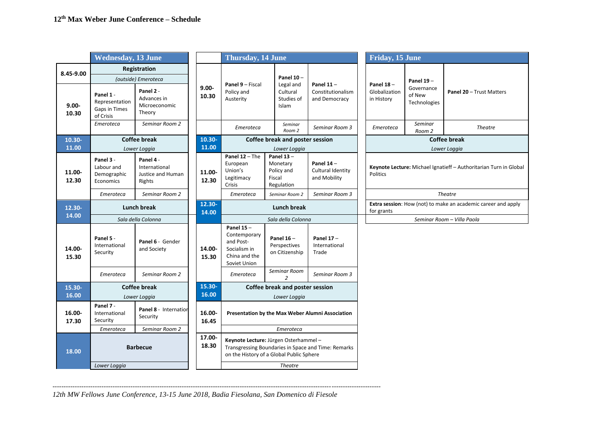|                   | <b>Wednesday, 13 June</b>                                 |                                                           |                   | <b>Thursday, 14 June</b>                                                                   |                                                                |                                                     |                                                                             | Friday, 15 June                                                               |                                      |                                 |  |  |  |
|-------------------|-----------------------------------------------------------|-----------------------------------------------------------|-------------------|--------------------------------------------------------------------------------------------|----------------------------------------------------------------|-----------------------------------------------------|-----------------------------------------------------------------------------|-------------------------------------------------------------------------------|--------------------------------------|---------------------------------|--|--|--|
| 8.45-9.00         |                                                           | Registration                                              |                   |                                                                                            |                                                                |                                                     |                                                                             |                                                                               |                                      |                                 |  |  |  |
|                   |                                                           | (outside) Emeroteca                                       |                   | Panel 9 - Fiscal                                                                           | <b>Panel 10-</b><br>Legal and                                  | Panel $11 -$                                        |                                                                             | Panel $18 -$                                                                  | Panel $19-$                          |                                 |  |  |  |
| $9.00 -$<br>10.30 | Panel 1 -<br>Representation<br>Gaps in Times<br>of Crisis | Panel 2 -<br>Advances in<br>Microeconomic<br>Theory       | $9.00 -$<br>10.30 | Policy and<br>Austerity                                                                    | Cultural<br>Studies of<br>Islam                                | Constitutionalism<br>and Democracy                  |                                                                             | Globalization<br>in History                                                   | Governance<br>of New<br>Technologies | <b>Panel 20 - Trust Matters</b> |  |  |  |
|                   | Emeroteca                                                 | Seminar Room 2                                            |                   | Emeroteca                                                                                  | Seminar<br>Room 2                                              | Seminar Room 3                                      |                                                                             | Emeroteca                                                                     | Seminar<br>Room 2                    | <b>Theatre</b>                  |  |  |  |
| 10.30-            |                                                           | <b>Coffee break</b>                                       | 10.30-            |                                                                                            | <b>Coffee break and poster session</b>                         |                                                     |                                                                             |                                                                               |                                      | <b>Coffee break</b>             |  |  |  |
| 11.00             |                                                           | Lower Loggia                                              | 11.00             |                                                                                            | Lower Loggia                                                   |                                                     |                                                                             |                                                                               |                                      | Lower Loggia                    |  |  |  |
| 11.00-<br>12.30   | Panel 3 -<br>Labour and<br>Demographic<br>Economics       | Panel 4 -<br>International<br>Justice and Human<br>Rights | 11.00-<br>12.30   | Panel $12 -$ The<br>European<br>Union's<br>Legitimacy<br>Crisis                            | Panel $13 -$<br>Monetary<br>Policy and<br>Fiscal<br>Regulation | Panel $14-$<br>Cultural Identity<br>and Mobility    |                                                                             | Keynote Lecture: Michael Ignatieff - Authoritarian Turn in Global<br>Politics |                                      |                                 |  |  |  |
|                   | Emeroteca                                                 | Seminar Room 2                                            |                   | Emeroteca                                                                                  | Seminar Room 2                                                 | Seminar Room 3                                      |                                                                             | <b>Theatre</b>                                                                |                                      |                                 |  |  |  |
| $12.30 -$         |                                                           | <b>Lunch break</b>                                        | 12.30-<br>14.00   | <b>Lunch break</b>                                                                         |                                                                |                                                     | Extra session: How (not) to make an academic career and apply<br>for grants |                                                                               |                                      |                                 |  |  |  |
| 14.00             |                                                           | Sala della Colonna                                        |                   |                                                                                            | Sala della Colonna                                             |                                                     |                                                                             | Seminar Room - Villa Paola                                                    |                                      |                                 |  |  |  |
| 14.00-<br>15.30   | Panel 5 -<br>International<br>Security                    | Panel 6 - Gender<br>and Society                           | 14.00-<br>15.30   | Panel $15 -$<br>Contemporary<br>and Post-<br>Socialism in<br>China and the<br>Soviet Union | Panel $16 -$<br>Perspectives<br>on Citizenship                 | Panel $17 -$<br>International<br>Trade              |                                                                             |                                                                               |                                      |                                 |  |  |  |
|                   | Emeroteca                                                 | Seminar Room 2                                            |                   | Emeroteca                                                                                  | Seminar Room<br>$\mathcal{P}$                                  | Seminar Room 3                                      |                                                                             |                                                                               |                                      |                                 |  |  |  |
| $15.30 -$         |                                                           | <b>Coffee break</b>                                       | 15.30-            |                                                                                            | Coffee break and poster session                                |                                                     |                                                                             |                                                                               |                                      |                                 |  |  |  |
| 16.00             |                                                           | Lower Loggia                                              | 16.00             |                                                                                            | Lower Loggia                                                   |                                                     |                                                                             |                                                                               |                                      |                                 |  |  |  |
| 16.00-<br>17.30   | Panel 7 -<br>International<br>Security                    | Panel 8 - Internation<br>Security                         | 16.00-<br>16.45   | Presentation by the Max Weber Alumni Association                                           |                                                                |                                                     |                                                                             |                                                                               |                                      |                                 |  |  |  |
|                   | Emeroteca                                                 | Seminar Room 2                                            |                   |                                                                                            | Emeroteca                                                      |                                                     |                                                                             |                                                                               |                                      |                                 |  |  |  |
| 18.00             | <b>Barbecue</b>                                           |                                                           | 17.00-<br>18.30   | Keynote Lecture: Jürgen Osterhammel -<br>on the History of a Global Public Sphere          |                                                                | Transgressing Boundaries in Space and Time: Remarks |                                                                             |                                                                               |                                      |                                 |  |  |  |
|                   | Lower Loggia                                              |                                                           |                   |                                                                                            | <b>Theatre</b>                                                 |                                                     |                                                                             |                                                                               |                                      |                                 |  |  |  |

*12th MW Fellows June Conference, 13-15 June 2018, Badia Fiesolana, San Domenico di Fiesole*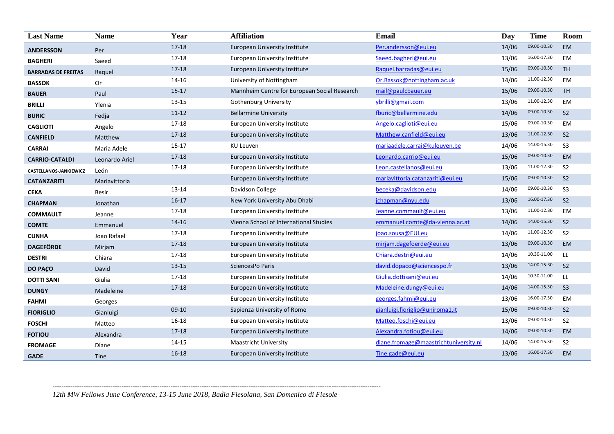| <b>Last Name</b>           | <b>Name</b>    | Year      | <b>Affiliation</b>                           | <b>Email</b>                          | Day   | <b>Time</b> | Room           |
|----------------------------|----------------|-----------|----------------------------------------------|---------------------------------------|-------|-------------|----------------|
| <b>ANDERSSON</b>           | Per            | 17-18     | European University Institute                | Per.andersson@eui.eu                  | 14/06 | 09.00-10.30 | <b>EM</b>      |
| <b>BAGHERI</b>             | Saeed          | 17-18     | European University Institute                | Saeed.bagheri@eui.eu                  | 13/06 | 16.00-17.30 | EM             |
| <b>BARRADAS DE FREITAS</b> | Raquel         | 17-18     | European University Institute                | Raquel.barradas@eui.eu                | 15/06 | 09.00-10.30 | <b>TH</b>      |
| <b>BASSOK</b>              | Or             | 14-16     | University of Nottingham                     | Or.Bassok@nottingham.ac.uk            | 14/06 | 11.00-12.30 | EM             |
| <b>BAUER</b>               | Paul           | $15 - 17$ | Mannheim Centre for European Social Research | mail@paulcbauer.eu                    | 15/06 | 09.00-10.30 | <b>TH</b>      |
| <b>BRILLI</b>              | Ylenia         | $13 - 15$ | <b>Gothenburg University</b>                 | ybrilli@gmail.com                     | 13/06 | 11.00-12.30 | EM             |
| <b>BURIC</b>               | Fedja          | $11 - 12$ | <b>Bellarmine University</b>                 | fburic@bellarmine.edu                 | 14/06 | 09.00-10.30 | S <sub>2</sub> |
| <b>CAGLIOTI</b>            | Angelo         | $17 - 18$ | European University Institute                | Angelo.caglioti@eui.eu                | 15/06 | 09.00-10.30 | EM             |
| <b>CANFIELD</b>            | Matthew        | 17-18     | European University Institute                | Matthew.canfield@eui.eu               | 13/06 | 11.00-12.30 | S <sub>2</sub> |
| <b>CARRAI</b>              | Maria Adele    | $15-17$   | KU Leuven                                    | mariaadele.carrai@kuleuven.be         | 14/06 | 14.00-15.30 | S <sub>3</sub> |
| <b>CARRIO-CATALDI</b>      | Leonardo Ariel | 17-18     | European University Institute                | Leonardo.carrio@eui.eu                | 15/06 | 09.00-10.30 | <b>EM</b>      |
| CASTELLANOS-JANKIEWICZ     | León           | 17-18     | European University Institute                | Leon.castellanos@eui.eu               | 13/06 | 11.00-12.30 | S <sub>2</sub> |
| <b>CATANZARITI</b>         | Mariavittoria  |           | European University Institute                | mariavittoria.catanzariti@eui.eu      | 15/06 | 09.00-10.30 | S <sub>2</sub> |
| <b>CEKA</b>                | <b>Besir</b>   | $13 - 14$ | Davidson College                             | beceka@davidson.edu                   | 14/06 | 09.00-10.30 | S <sub>3</sub> |
| <b>CHAPMAN</b>             | Jonathan       | $16-17$   | New York University Abu Dhabi                | jchapman@nyu.edu                      | 13/06 | 16.00-17.30 | S <sub>2</sub> |
| <b>COMMAULT</b>            | Jeanne         | 17-18     | European University Institute                | Jeanne.commault@eui.eu                | 13/06 | 11.00-12.30 | EM             |
| <b>COMTE</b>               | Emmanuel       | 14-16     | Vienna School of International Studies       | emmanuel.comte@da-vienna.ac.at        | 14/06 | 14.00-15.30 | S <sub>2</sub> |
| <b>CUNHA</b>               | Joao Rafael    | 17-18     | European University Institute                | joao.sousa@EUI.eu                     | 14/06 | 11.00-12.30 | S <sub>2</sub> |
| <b>DAGEFÖRDE</b>           | Mirjam         | 17-18     | European University Institute                | mirjam.dagefoerde@eui.eu              | 13/06 | 09.00-10.30 | EM             |
| <b>DESTRI</b>              | Chiara         | 17-18     | European University Institute                | Chiara.destri@eui.eu                  | 14/06 | 10.30-11.00 | LL.            |
| <b>DO PACO</b>             | David          | $13 - 15$ | SciencesPo Paris                             | david.dopaco@sciencespo.fr            | 13/06 | 14.00-15.30 | S <sub>2</sub> |
| <b>DOTTI SANI</b>          | Giulia         | 17-18     | European University Institute                | Giulia.dottisani@eui.eu               | 14/06 | 10.30-11.00 | LL.            |
| <b>DUNGY</b>               | Madeleine      | 17-18     | European University Institute                | Madeleine.dungy@eui.eu                | 14/06 | 14.00-15.30 | S <sub>3</sub> |
| <b>FAHMI</b>               | Georges        |           | European University Institute                | georges.fahmi@eui.eu                  | 13/06 | 16.00-17.30 | <b>EM</b>      |
| <b>FIORIGLIO</b>           | Gianluigi      | 09-10     | Sapienza University of Rome                  | gianluigi.fioriglio@uniroma1.it       | 15/06 | 09.00-10.30 | S <sub>2</sub> |
| <b>FOSCHI</b>              | Matteo         | 16-18     | European University Institute                | Matteo.foschi@eui.eu                  | 13/06 | 09.00-10.30 | S <sub>2</sub> |
| <b>FOTIOU</b>              | Alexandra      | 17-18     | European University Institute                | Alexandra.fotiou@eui.eu               | 14/06 | 09.00-10.30 | <b>EM</b>      |
| <b>FROMAGE</b>             | Diane          | 14-15     | <b>Maastricht University</b>                 | diane.fromage@maastrichtuniversity.nl | 14/06 | 14.00-15.30 | S <sub>2</sub> |
| <b>GADE</b>                | Tine           | $16 - 18$ | European University Institute                | Tine.gade@eui.eu                      | 13/06 | 16.00-17.30 | <b>EM</b>      |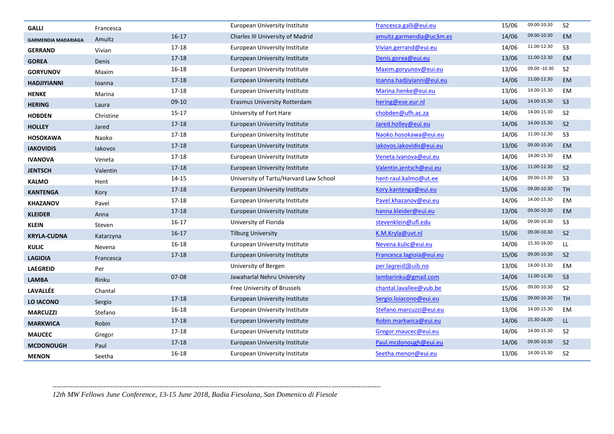| <b>GALLI</b>               | Francesca     |           | European University Institute          | francesca.galli@eui.eu    | 15/06 | 09.00-10.30   | S <sub>2</sub> |
|----------------------------|---------------|-----------|----------------------------------------|---------------------------|-------|---------------|----------------|
| <b>GARMENDIA MADARIAGA</b> | Amuitz        | $16-17$   | Charles III University of Madrid       | amuitz.garmendia@uc3m.es  | 14/06 | 09.00-10.30   | EM             |
| <b>GERRAND</b>             | Vivian        | 17-18     | European University Institute          | Vivian.gerrand@eui.eu     | 14/06 | 11.00-12.30   | S <sub>3</sub> |
| <b>GOREA</b>               | Denis         | 17-18     | European University Institute          | Denis.gorea@eui.eu        | 13/06 | 11.00-12.30   | <b>EM</b>      |
| <b>GORYUNOV</b>            | Maxim         | 16-18     | European University Institute          | Maxim.goryunov@eui.eu     | 13/06 | 09.00 - 10.30 | S <sub>2</sub> |
| <b>HADJIYIANNI</b>         | <b>Ioanna</b> | 17-18     | European University Institute          | Ioanna.hadjiyianni@eui.eu | 14/06 | 11.00-12.30   | EM             |
| <b>HENKE</b>               | Marina        | 17-18     | European University Institute          | Marina.henke@eui.eu       | 13/06 | 14.00-15.30   | EM             |
| <b>HERING</b>              | Laura         | 09-10     | Erasmus University Rotterdam           | hering@ese.eur.nl         | 14/06 | 14.00-15.30   | S <sub>3</sub> |
| <b>HOBDEN</b>              | Christine     | $15 - 17$ | University of Fort Hare                | chobden@ufh.ac.za         | 14/06 | 14.00-15.30   | S <sub>2</sub> |
| <b>HOLLEY</b>              | Jared         | 17-18     | European University Institute          | Jared.holley@eui.eu       | 14/06 | 14.00-15.30   | S <sub>2</sub> |
| <b>HOSOKAWA</b>            | Naoko         | 17-18     | European University Institute          | Naoko.hosokawa@eui.eu     | 14/06 | 11.00-12.30   | S <sub>3</sub> |
| <b>IAKOVIDIS</b>           | lakovos       | 17-18     | European University Institute          | iakovos.iakovidis@eui.eu  | 13/06 | 09.00-10.30   | <b>EM</b>      |
| <b>IVANOVA</b>             | Veneta        | 17-18     | European University Institute          | Veneta.ivanova@eui.eu     | 14/06 | 14.00-15.30   | EM             |
| <b>JENTSCH</b>             | Valentin      | 17-18     | European University Institute          | Valentin.jentsch@eui.eu   | 13/06 | 11.00-12.30   | S <sub>2</sub> |
| <b>KALMO</b>               | Hent          | 14-15     | University of Tartu/Harvard Law School | hent-raul.kalmo@ut.ee     | 14/06 | 09.00-15.30   | S <sub>3</sub> |
| KANTENGA                   | Kory          | 17-18     | European University Institute          | Kory.kantenga@eui.eu      | 15/06 | 09.00-10.30   | <b>TH</b>      |
| <b>KHAZANOV</b>            | Pavel         | 17-18     | European University Institute          | Pavel.khazanov@eui.eu     | 14/06 | 14.00-15.30   | EM             |
| <b>KLEIDER</b>             | Anna          | 17-18     | European University Institute          | hanna.kleider@eui.eu      | 13/06 | 09.00-10.30   | <b>EM</b>      |
| <b>KLEIN</b>               | Steven        | 16-17     | University of Florida                  | stevenklein@ufl.edu       | 14/06 | 09.00-10.30   | S <sub>3</sub> |
| <b>KRYLA-CUDNA</b>         | Katarzyna     | $16-17$   | <b>Tilburg University</b>              | K.M.Kryla@uvt.nl          | 15/06 | 09.00-10.30   | S <sub>2</sub> |
| <b>KULIC</b>               | Nevena        | 16-18     | European University Institute          | Nevena.kulic@eui.eu       | 14/06 | 15.30-16.00   | L              |
| <b>LAGIOIA</b>             | Francesca     | 17-18     | European University Institute          | Francesca.lagioia@eui.eu  | 15/06 | 09.00-10.30   | S <sub>2</sub> |
| <b>LAEGREID</b>            | Per           |           | University of Bergen                   | per.lagreid@uib.no        | 13/06 | 14.00-15.30   | EM             |
| <b>LAMBA</b>               | Rinku         | 07-08     | Jawaharlal Nehru University            | lambarinku@gmail.com      | 14/06 | 11.00-12.30   | S <sub>3</sub> |
| <b>LAVALLÉE</b>            | Chantal       |           | Free University of Brussels            | chantal.lavallee@vub.be   | 15/06 | 09.00-10.30   | S <sub>2</sub> |
| <b>LO IACONO</b>           | Sergio        | 17-18     | European University Institute          | Sergio.loiacono@eui.eu    | 15/06 | 09.00-10.30   | <b>TH</b>      |
| <b>MARCUZZI</b>            | Stefano       | 16-18     | European University Institute          | Stefano.marcuzzi@eui.eu   | 13/06 | 14.00-15.30   | EM             |
| <b>MARKWICA</b>            | Robin         | 17-18     | European University Institute          | Robin.markwica@eui.eu     | 14/06 | 15.30-16.00   | LL             |
| <b>MAUCEC</b>              | Gregor        | 17-18     | European University Institute          | Gregor.maucec@eui.eu      | 14/06 | 14.00-15.30   | S <sub>2</sub> |
| <b>MCDONOUGH</b>           | Paul          | $17 - 18$ | European University Institute          | Paul.mcdonough@eui.eu     | 14/06 | 09.00-10.30   | S <sub>2</sub> |
| <b>MENON</b>               | Seetha        | 16-18     | European University Institute          | Seetha.menon@eui.eu       | 13/06 | 14.00-15.30   | S <sub>2</sub> |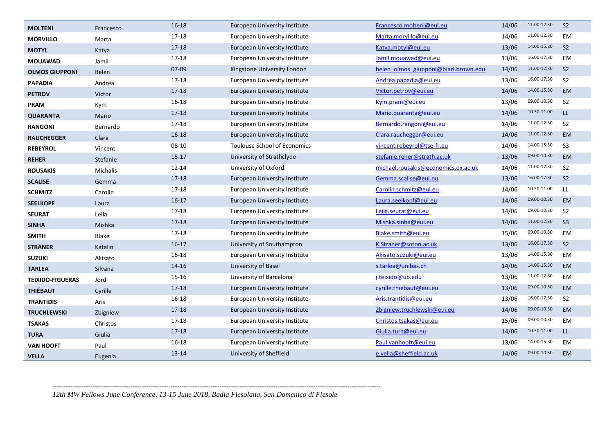| <b>MOLTENI</b>          | Francesco | $16 - 18$ | European University Institute       | Francesco.molteni@eui.eu             | 14/06 | 11.00-12.30 | S <sub>2</sub> |
|-------------------------|-----------|-----------|-------------------------------------|--------------------------------------|-------|-------------|----------------|
| <b>MORVILLO</b>         | Marta     | $17 - 18$ | European University Institute       | Marta.morvillo@eui.eu                | 14/06 | 11.00-12.30 | EM             |
| <b>MOTYL</b>            | Katya     | 17-18     | European University Institute       | Katya.motyl@eui.eu                   | 13/06 | 14.00-15.30 | S <sub>2</sub> |
| <b>MOUAWAD</b>          | Jamil     | 17-18     | European University Institute       | Jamil.mouawad@eui.eu                 | 13/06 | 16.00-17.30 | EM             |
| <b>OLMOS GIUPPONI</b>   | Belen     | 07-09     | Kingstone University London         | belen olmos giupponi@biari.brown.edu | 14/06 | 11.00-12.30 | S <sub>2</sub> |
| <b>PAPADIA</b>          | Andrea    | $17 - 18$ | European University Institute       | Andrea.papadia@eui.eu                | 13/06 | 16.00-17.30 | S <sub>2</sub> |
| <b>PETROV</b>           | Victor    | $17 - 18$ | European University Institute       | Victor.petrov@eui.eu                 | 14/06 | 14.00-15.30 | <b>EM</b>      |
| <b>PRAM</b>             | Kym       | 16-18     | European University Institute       | Kym.pram@eui.eu                      | 13/06 | 09.00-10.30 | S <sub>2</sub> |
| <b>QUARANTA</b>         | Mario     | $17 - 18$ | European University Institute       | Mario.quaranta@eui.eu                | 14/06 | 10.30-11.00 | LL             |
| <b>RANGONI</b>          | Bernardo  | 17-18     | European University Institute       | Bernardo.rangoni@eui.eu              | 14/06 | 11.00-12.30 | S <sub>2</sub> |
| <b>RAUCHEGGER</b>       | Clara     | $16 - 18$ | European University Institute       | Clara.rauchegger@eui.eu              | 14/06 | 11.00-12.30 | <b>EM</b>      |
| <b>REBEYROL</b>         | Vincent   | 08-10     | <b>Toulouse School of Economics</b> | vincent.rebeyrol@tse-fr.eu           | 14/06 | 14.00-15.30 | S <sub>3</sub> |
| <b>REHER</b>            | Stefanie  | $15 - 17$ | University of Strathclyde           | stefanie.reher@strath.ac.uk          | 13/06 | 09.00-10.30 | <b>EM</b>      |
| <b>ROUSAKIS</b>         | Michalis  | 12-14     | University of Oxford                | michael.rousakis@economics.ox.ac.uk  | 14/06 | 11.00-12.30 | S <sub>2</sub> |
| <b>SCALISE</b>          | Gemma     | $17 - 18$ | European University Institute       | Gemma.scalise@eui.eu                 | 13/06 | 16.00-17.30 | S <sub>2</sub> |
| <b>SCHMITZ</b>          | Carolin   | 17-18     | European University Institute       | Carolin.schmitz@eui.eu               | 14/06 | 10.30-11.00 | LL.            |
| <b>SEELKOPF</b>         | Laura     | $16-17$   | European University Institute       | Laura.seelkopf@eui.eu                | 14/06 | 09.00-10.30 | EM             |
| <b>SEURAT</b>           | Leila     | 17-18     | European University Institute       | Leila.seurat@eui.eu                  | 14/06 | 09.00-10.30 | S <sub>2</sub> |
| <b>SINHA</b>            | Mishka    | $17 - 18$ | European University Institute       | Mishka.sinha@eui.eu                  | 14/06 | 11.00-12.30 | S <sub>3</sub> |
| <b>SMITH</b>            | Blake     | 17-18     | European University Institute       | Blake.smith@eui.eu                   | 15/06 | 09.00-10.30 | EM             |
| <b>STRANER</b>          | Katalin   | $16 - 17$ | University of Southampton           | K.Straner@soton.ac.uk                | 13/06 | 16.00-17.30 | S <sub>2</sub> |
| <b>SUZUKI</b>           | Akisato   | $16 - 18$ | European University Institute       | Akisato.suzuki@eui.eu                | 13/06 | 14.00-15.30 | EM             |
| <b>TARLEA</b>           | Silvana   | 14-16     | University of Basel                 | s.tarlea@unibas.ch                   | 14/06 | 14.00-15.30 | EM             |
| <b>TEIXIDO-FIGUERAS</b> | Jordi     | 15-16     | University of Barcelona             | j.teixido@ub.edu                     | 13/06 | 11.00-12.30 | EM             |
| <b>THIÉBAUT</b>         | Cyrille   | $17 - 18$ | European University Institute       | cyrille.thiebaut@eui.eu              | 13/06 | 09.00-10.30 | <b>EM</b>      |
| <b>TRANTIDIS</b>        | Aris      | 16-18     | European University Institute       | Aris.trantidis@eui.eu                | 13/06 | 16.00-17.30 | S <sub>2</sub> |
| <b>TRUCHLEWSKI</b>      | Zbigniew  | $17 - 18$ | European University Institute       | Zbigniew.truchlewski@eui.eu          | 14/06 | 09.00-10.30 | <b>EM</b>      |
| <b>TSAKAS</b>           | Christos  | 17-18     | European University Institute       | Christos.tsakas@eui.eu               | 15/06 | 09.00-10.30 | EM             |
| <b>TURA</b>             | Giulia    | $17 - 18$ | European University Institute       | Giulia.tura@eui.eu                   | 14/06 | 10.30-11.00 | L              |
| <b>VAN HOOFT</b>        | Paul      | 16-18     | European University Institute       | Paul.vanhooft@eui.eu                 | 13/06 | 14.00-15.30 | <b>EM</b>      |
| <b>VELLA</b>            | Eugenia   | $13 - 14$ | University of Sheffield             | e.vella@sheffield.ac.uk              | 14/06 | 09.00-10.30 | <b>EM</b>      |